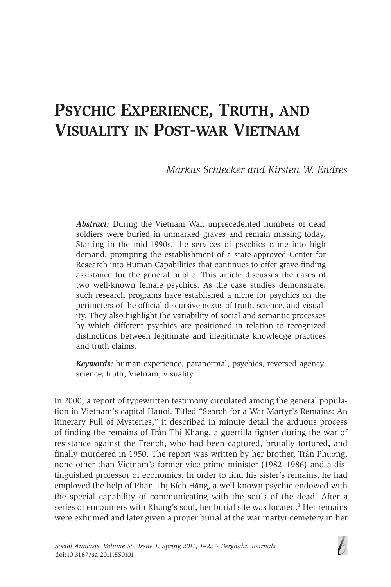# PSYCHIC EXPERIENCE, TRUTH, AND **Visuality in Post-war Vietnam**

*Markus Schlecker and Kirsten W. Endres*

*Abstract:* During the Vietnam War, unprecedented numbers of dead soldiers were buried in unmarked graves and remain missing today. Starting in the mid-1990s, the services of psychics came into high demand, prompting the establishment of a state-approved Center for Research into Human Capabilities that continues to offer grave-finding assistance for the general public. This article discusses the cases of two well-known female psychics. As the case studies demonstrate, such research programs have established a niche for psychics on the perimeters of the official discursive nexus of truth, science, and visuality. They also highlight the variability of social and semantic processes by which different psychics are positioned in relation to recognized distinctions between legitimate and illegitimate knowledge practices and truth claims.

*Keywords:* human experience, paranormal, psychics, reversed agency, science, truth, Vietnam, visuality

In 2000, a report of typewritten testimony circulated among the general population in Vietnam's capital Hanoi. Titled "Search for a War Martyr's Remains: An Itinerary Full of Mysteries," it described in minute detail the arduous process of finding the remains of Trần Thị Khang, a guerrilla fighter during the war of resistance against the French, who had been captured, brutally tortured, and finally murdered in 1950. The report was written by her brother, Trần Phương, none other than Vietnam's former vice prime minister (1982–1986) and a distinguished professor of economics. In order to find his sister's remains, he had employed the help of Phan Thị Bích Hằng, a well-known psychic endowed with the special capability of communicating with the souls of the dead. After a series of encounters with Khang's soul, her burial site was located.<sup>1</sup> Her remains were exhumed and later given a proper burial at the war martyr cemetery in her

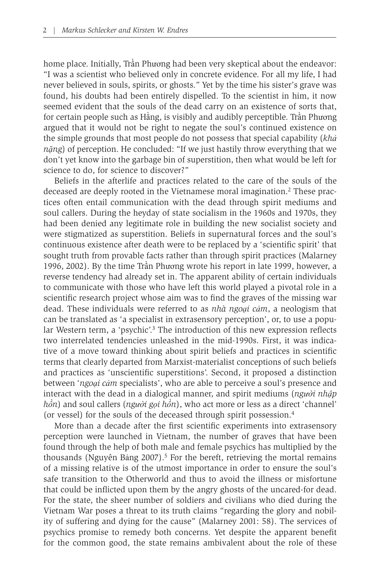home place. Initially, Trần Phương had been very skeptical about the endeavor: "I was a scientist who believed only in concrete evidence. For all my life, I had never believed in souls, spirits, or ghosts." Yet by the time his sister's grave was found, his doubts had been entirely dispelled. To the scientist in him, it now seemed evident that the souls of the dead carry on an existence of sorts that, for certain people such as Hằng, is visibly and audibly perceptible. Trần Phương argued that it would not be right to negate the soul's continued existence on the simple grounds that most people do not possess that special capability (*khả nặng*) of perception. He concluded: "If we just hastily throw everything that we don't yet know into the garbage bin of superstition, then what would be left for science to do, for science to discover?"

Beliefs in the afterlife and practices related to the care of the souls of the deceased are deeply rooted in the Vietnamese moral imagination.<sup>2</sup> These practices often entail communication with the dead through spirit mediums and soul callers. During the heyday of state socialism in the 1960s and 1970s, they had been denied any legitimate role in building the new socialist society and were stigmatized as superstition. Beliefs in supernatural forces and the soul's continuous existence after death were to be replaced by a 'scientific spirit' that sought truth from provable facts rather than through spirit practices (Malarney 1996, 2002). By the time Trần Phương wrote his report in late 1999, however, a reverse tendency had already set in. The apparent ability of certain individuals to communicate with those who have left this world played a pivotal role in a scientific research project whose aim was to find the graves of the missing war dead. These individuals were referred to as *nhà ngoại cảm*, a neologism that can be translated as 'a specialist in extrasensory perception', or, to use a popular Western term, a 'psychic'.<sup>3</sup> The introduction of this new expression reflects two interrelated tendencies unleashed in the mid-1990s. First, it was indicative of a move toward thinking about spirit beliefs and practices in scientific terms that clearly departed from Marxist-materialist conceptions of such beliefs and practices as 'unscientific superstitions'. Second, it proposed a distinction between '*ngoại cảm* specialists', who are able to perceive a soul's presence and interact with the dead in a dialogical manner, and spirit mediums (*người nhập hồn*) and soul callers (*người gọi hồn*), who act more or less as a direct 'channel' (or vessel) for the souls of the deceased through spirit possession.4

More than a decade after the first scientific experiments into extrasensory perception were launched in Vietnam, the number of graves that have been found through the help of both male and female psychics has multiplied by the thousands (Nguyên Bảng 2007).<sup>5</sup> For the bereft, retrieving the mortal remains of a missing relative is of the utmost importance in order to ensure the soul's safe transition to the Otherworld and thus to avoid the illness or misfortune that could be inflicted upon them by the angry ghosts of the uncared-for dead. For the state, the sheer number of soldiers and civilians who died during the Vietnam War poses a threat to its truth claims "regarding the glory and nobility of suffering and dying for the cause" (Malarney 2001: 58). The services of psychics promise to remedy both concerns. Yet despite the apparent benefit for the common good, the state remains ambivalent about the role of these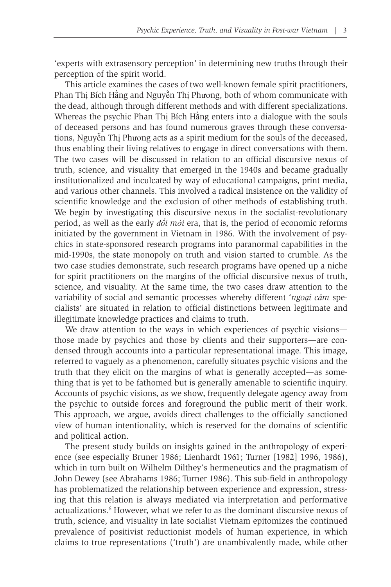'experts with extrasensory perception' in determining new truths through their perception of the spirit world.

This article examines the cases of two well-known female spirit practitioners, Phan Thị Bích Hằng and Nguyễn Thị Phương, both of whom communicate with the dead, although through different methods and with different specializations. Whereas the psychic Phan Thị Bích Hằng enters into a dialogue with the souls of deceased persons and has found numerous graves through these conversations, Nguyễn Thị Phương acts as a spirit medium for the souls of the deceased, thus enabling their living relatives to engage in direct conversations with them. The two cases will be discussed in relation to an official discursive nexus of truth, science, and visuality that emerged in the 1940s and became gradually institutionalized and inculcated by way of educational campaigns, print media, and various other channels. This involved a radical insistence on the validity of scientific knowledge and the exclusion of other methods of establishing truth. We begin by investigating this discursive nexus in the socialist-revolutionary period, as well as the early *đổi mới* era, that is, the period of economic reforms initiated by the government in Vietnam in 1986. With the involvement of psychics in state-sponsored research programs into paranormal capabilities in the mid-1990s, the state monopoly on truth and vision started to crumble. As the two case studies demonstrate, such research programs have opened up a niche for spirit practitioners on the margins of the official discursive nexus of truth, science, and visuality. At the same time, the two cases draw attention to the variability of social and semantic processes whereby different '*ngoại cảm* specialists' are situated in relation to official distinctions between legitimate and illegitimate knowledge practices and claims to truth.

We draw attention to the ways in which experiences of psychic visions those made by psychics and those by clients and their supporters—are condensed through accounts into a particular representational image. This image, referred to vaguely as a phenomenon, carefully situates psychic visions and the truth that they elicit on the margins of what is generally accepted—as something that is yet to be fathomed but is generally amenable to scientific inquiry. Accounts of psychic visions, as we show, frequently delegate agency away from the psychic to outside forces and foreground the public merit of their work. This approach, we argue, avoids direct challenges to the officially sanctioned view of human intentionality, which is reserved for the domains of scientific and political action.

The present study builds on insights gained in the anthropology of experience (see especially Bruner 1986; Lienhardt 1961; Turner [1982] 1996, 1986), which in turn built on Wilhelm Dilthey's hermeneutics and the pragmatism of John Dewey (see Abrahams 1986; Turner 1986). This sub-field in anthropology has problematized the relationship between experience and expression, stressing that this relation is always mediated via interpretation and performative actualizations.<sup>6</sup> However, what we refer to as the dominant discursive nexus of truth, science, and visuality in late socialist Vietnam epitomizes the continued prevalence of positivist reductionist models of human experience, in which claims to true representations ('truth') are unambivalently made, while other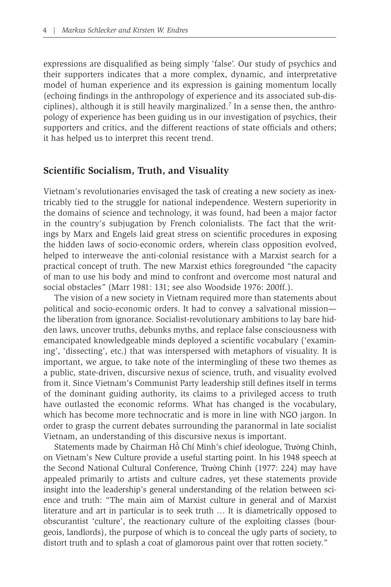expressions are disqualified as being simply 'false'. Our study of psychics and their supporters indicates that a more complex, dynamic, and interpretative model of human experience and its expression is gaining momentum locally (echoing findings in the anthropology of experience and its associated sub-disciplines), although it is still heavily marginalized.<sup>7</sup> In a sense then, the anthropology of experience has been guiding us in our investigation of psychics, their supporters and critics, and the different reactions of state officials and others; it has helped us to interpret this recent trend.

### **Scientific Socialism, Truth, and Visuality**

Vietnam's revolutionaries envisaged the task of creating a new society as inextricably tied to the struggle for national independence. Western superiority in the domains of science and technology, it was found, had been a major factor in the country's subjugation by French colonialists. The fact that the writings by Marx and Engels laid great stress on scientific procedures in exposing the hidden laws of socio-economic orders, wherein class opposition evolved, helped to interweave the anti-colonial resistance with a Marxist search for a practical concept of truth. The new Marxist ethics foregrounded "the capacity of man to use his body and mind to confront and overcome most natural and social obstacles" (Marr 1981: 131; see also Woodside 1976: 200ff.).

The vision of a new society in Vietnam required more than statements about political and socio-economic orders. It had to convey a salvational mission the liberation from ignorance. Socialist-revolutionary ambitions to lay bare hidden laws, uncover truths, debunks myths, and replace false consciousness with emancipated knowledgeable minds deployed a scientific vocabulary ('examining', 'dissecting', etc.) that was interspersed with metaphors of visuality. It is important, we argue, to take note of the intermingling of these two themes as a public, state-driven, discursive nexus of science, truth, and visuality evolved from it. Since Vietnam's Communist Party leadership still defines itself in terms of the dominant guiding authority, its claims to a privileged access to truth have outlasted the economic reforms. What has changed is the vocabulary, which has become more technocratic and is more in line with NGO jargon. In order to grasp the current debates surrounding the paranormal in late socialist Vietnam, an understanding of this discursive nexus is important.

Statements made by Chairman Hồ Chí Minh's chief ideologue, Trường Chinh, on Vietnam's New Culture provide a useful starting point. In his 1948 speech at the Second National Cultural Conference, Trường Chinh (1977: 224) may have appealed primarily to artists and culture cadres, yet these statements provide insight into the leadership's general understanding of the relation between science and truth: "The main aim of Marxist culture in general and of Marxist literature and art in particular is to seek truth … It is diametrically opposed to obscurantist 'culture', the reactionary culture of the exploiting classes (bourgeois, landlords), the purpose of which is to conceal the ugly parts of society, to distort truth and to splash a coat of glamorous paint over that rotten society."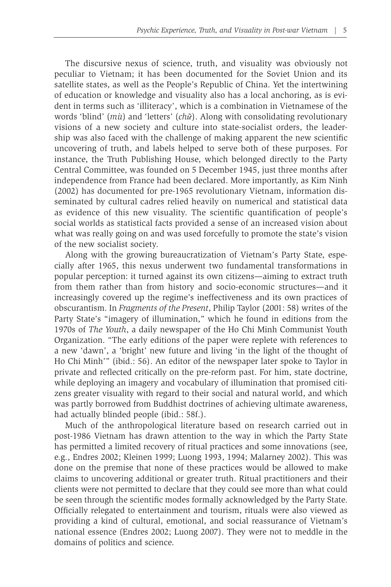The discursive nexus of science, truth, and visuality was obviously not peculiar to Vietnam; it has been documented for the Soviet Union and its satellite states, as well as the People's Republic of China. Yet the intertwining of education or knowledge and visuality also has a local anchoring, as is evident in terms such as 'illiteracy', which is a combination in Vietnamese of the words 'blind' (*mù*) and 'letters' (*chữ*). Along with consolidating revolutionary visions of a new society and culture into state-socialist orders, the leadership was also faced with the challenge of making apparent the new scientific uncovering of truth, and labels helped to serve both of these purposes. For instance, the Truth Publishing House, which belonged directly to the Party Central Committee, was founded on 5 December 1945, just three months after independence from France had been declared. More importantly, as Kim Ninh (2002) has documented for pre-1965 revolutionary Vietnam, information disseminated by cultural cadres relied heavily on numerical and statistical data as evidence of this new visuality. The scientific quantification of people's social worlds as statistical facts provided a sense of an increased vision about what was really going on and was used forcefully to promote the state's vision of the new socialist society.

Along with the growing bureaucratization of Vietnam's Party State, especially after 1965, this nexus underwent two fundamental transformations in popular perception: it turned against its own citizens—aiming to extract truth from them rather than from history and socio-economic structures—and it increasingly covered up the regime's ineffectiveness and its own practices of obscurantism. In *Fragments of the Present*, Philip Taylor (2001: 58) writes of the Party State's "imagery of illumination," which he found in editions from the 1970s of *The Youth*, a daily newspaper of the Ho Chi Minh Communist Youth Organization. "The early editions of the paper were replete with references to a new 'dawn', a 'bright' new future and living 'in the light of the thought of Ho Chi Minh'" (ibid.: 56). An editor of the newspaper later spoke to Taylor in private and reflected critically on the pre-reform past. For him, state doctrine, while deploying an imagery and vocabulary of illumination that promised citizens greater visuality with regard to their social and natural world, and which was partly borrowed from Buddhist doctrines of achieving ultimate awareness, had actually blinded people (ibid.: 58f.).

Much of the anthropological literature based on research carried out in post-1986 Vietnam has drawn attention to the way in which the Party State has permitted a limited recovery of ritual practices and some innovations (see, e.g., Endres 2002; Kleinen 1999; Luong 1993, 1994; Malarney 2002). This was done on the premise that none of these practices would be allowed to make claims to uncovering additional or greater truth. Ritual practitioners and their clients were not permitted to declare that they could see more than what could be seen through the scientific modes formally acknowledged by the Party State. Officially relegated to entertainment and tourism, rituals were also viewed as providing a kind of cultural, emotional, and social reassurance of Vietnam's national essence (Endres 2002; Luong 2007). They were not to meddle in the domains of politics and science.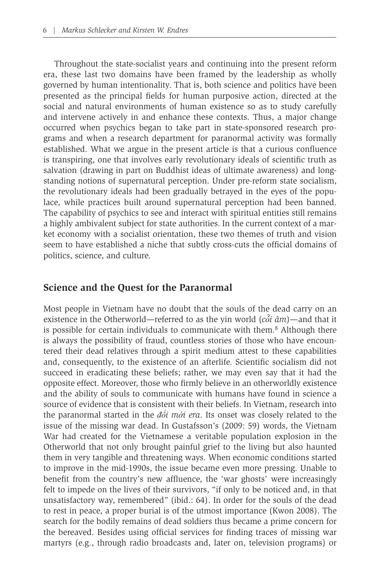Throughout the state-socialist years and continuing into the present reform era, these last two domains have been framed by the leadership as wholly governed by human intentionality. That is, both science and politics have been presented as the principal fields for human purposive action, directed at the social and natural environments of human existence so as to study carefully and intervene actively in and enhance these contexts. Thus, a major change occurred when psychics began to take part in state-sponsored research programs and when a research department for paranormal activity was formally established. What we argue in the present article is that a curious confluence is transpiring, one that involves early revolutionary ideals of scientific truth as salvation (drawing in part on Buddhist ideas of ultimate awareness) and longstanding notions of supernatural perception. Under pre-reform state socialism, the revolutionary ideals had been gradually betrayed in the eyes of the populace, while practices built around supernatural perception had been banned. The capability of psychics to see and interact with spiritual entities still remains a highly ambivalent subject for state authorities. In the current context of a market economy with a socialist orientation, these two themes of truth and vision seem to have established a niche that subtly cross-cuts the official domains of politics, science, and culture.

#### **Science and the Quest for the Paranormal**

Most people in Vietnam have no doubt that the souls of the dead carry on an existence in the Otherworld—referred to as the yin world (*cỗi âm*)—and that it is possible for certain individuals to communicate with them.<sup>8</sup> Although there is always the possibility of fraud, countless stories of those who have encountered their dead relatives through a spirit medium attest to these capabilities and, consequently, to the existence of an afterlife. Scientific socialism did not succeed in eradicating these beliefs; rather, we may even say that it had the opposite effect. Moreover, those who firmly believe in an otherworldly existence and the ability of souls to communicate with humans have found in science a source of evidence that is consistent with their beliefs. In Vietnam, research into the paranormal started in the *đổi mới era*. Its onset was closely related to the issue of the missing war dead. In Gustafsson's (2009: 59) words, the Vietnam War had created for the Vietnamese a veritable population explosion in the Otherworld that not only brought painful grief to the living but also haunted them in very tangible and threatening ways. When economic conditions started to improve in the mid-1990s, the issue became even more pressing. Unable to benefit from the country's new affluence, the 'war ghosts' were increasingly felt to impede on the lives of their survivors, "if only to be noticed and, in that unsatisfactory way, remembered" (ibid.: 64). In order for the souls of the dead to rest in peace, a proper burial is of the utmost importance (Kwon 2008). The search for the bodily remains of dead soldiers thus became a prime concern for the bereaved. Besides using official services for finding traces of missing war martyrs (e.g., through radio broadcasts and, later on, television programs) or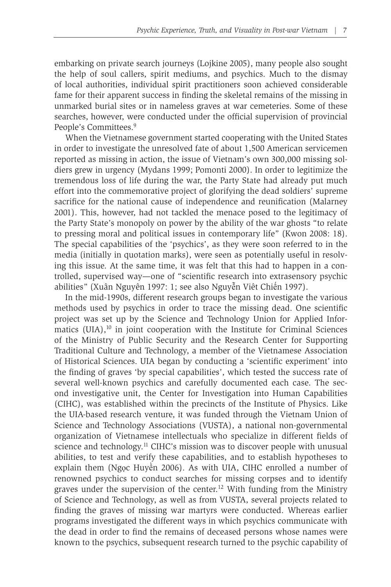embarking on private search journeys (Lojkine 2005), many people also sought the help of soul callers, spirit mediums, and psychics. Much to the dismay of local authorities, individual spirit practitioners soon achieved considerable fame for their apparent success in finding the skeletal remains of the missing in unmarked burial sites or in nameless graves at war cemeteries. Some of these searches, however, were conducted under the official supervision of provincial People's Committees.9

When the Vietnamese government started cooperating with the United States in order to investigate the unresolved fate of about 1,500 American servicemen reported as missing in action, the issue of Vietnam's own 300,000 missing soldiers grew in urgency (Mydans 1999; Pomonti 2000). In order to legitimize the tremendous loss of life during the war, the Party State had already put much effort into the commemorative project of glorifying the dead soldiers' supreme sacrifice for the national cause of independence and reunification (Malarney 2001). This, however, had not tackled the menace posed to the legitimacy of the Party State's monopoly on power by the ability of the war ghosts "to relate to pressing moral and political issues in contemporary life" (Kwon 2008: 18). The special capabilities of the 'psychics', as they were soon referred to in the media (initially in quotation marks), were seen as potentially useful in resolving this issue. At the same time, it was felt that this had to happen in a controlled, supervised way—one of "scientific research into extrasensory psychic abilities" (Xuân Nguyên 1997: 1; see also Nguyễn Viêt Chiến 1997).

In the mid-1990s, different research groups began to investigate the various methods used by psychics in order to trace the missing dead. One scientific project was set up by the Science and Technology Union for Applied Informatics (UIA),<sup>10</sup> in joint cooperation with the Institute for Criminal Sciences of the Ministry of Public Security and the Research Center for Supporting Traditional Culture and Technology, a member of the Vietnamese Association of Historical Sciences. UIA began by conducting a 'scientific experiment' into the finding of graves 'by special capabilities', which tested the success rate of several well-known psychics and carefully documented each case. The second investigative unit, the Center for Investigation into Human Capabilities (CIHC), was established within the precincts of the Institute of Physics. Like the UIA-based research venture, it was funded through the Vietnam Union of Science and Technology Associations (VUSTA), a national non-governmental organization of Vietnamese intellectuals who specialize in different fields of science and technology.<sup>11</sup> CIHC's mission was to discover people with unusual abilities, to test and verify these capabilities, and to establish hypotheses to explain them (Ngọc Huyền 2006). As with UIA, CIHC enrolled a number of renowned psychics to conduct searches for missing corpses and to identify graves under the supervision of the center.<sup>12</sup> With funding from the Ministry of Science and Technology, as well as from VUSTA, several projects related to finding the graves of missing war martyrs were conducted. Whereas earlier programs investigated the different ways in which psychics communicate with the dead in order to find the remains of deceased persons whose names were known to the psychics, subsequent research turned to the psychic capability of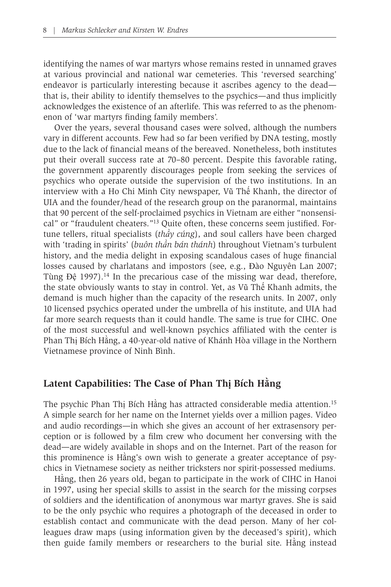identifying the names of war martyrs whose remains rested in unnamed graves at various provincial and national war cemeteries. This 'reversed searching' endeavor is particularly interesting because it ascribes agency to the dead that is, their ability to identify themselves to the psychics—and thus implicitly acknowledges the existence of an afterlife. This was referred to as the phenomenon of 'war martyrs finding family members'.

Over the years, several thousand cases were solved, although the numbers vary in different accounts. Few had so far been verified by DNA testing, mostly due to the lack of financial means of the bereaved. Nonetheless, both institutes put their overall success rate at 70–80 percent. Despite this favorable rating, the government apparently discourages people from seeking the services of psychics who operate outside the supervision of the two institutions. In an interview with a Ho Chi Minh City newspaper, Vũ Thế Khanh, the director of UIA and the founder/head of the research group on the paranormal, maintains that 90 percent of the self-proclaimed psychics in Vietnam are either "nonsensical" or "fraudulent cheaters."<sup>13</sup> Quite often, these concerns seem justified. Fortune tellers, ritual specialists (*thầy cúng*), and soul callers have been charged with 'trading in spirits' (*buôn thần bán thánh*) throughout Vietnam's turbulent history, and the media delight in exposing scandalous cases of huge financial losses caused by charlatans and impostors (see, e.g., Đào Nguyên Lan 2007; Tùng Đệ 1997).<sup>14</sup> In the precarious case of the missing war dead, therefore, the state obviously wants to stay in control. Yet, as Vũ Thế Khanh admits, the demand is much higher than the capacity of the research units. In 2007, only 10 licensed psychics operated under the umbrella of his institute, and UIA had far more search requests than it could handle. The same is true for CIHC. One of the most successful and well-known psychics affiliated with the center is Phan Thị Bích Hằng, a 40-year-old native of Khánh Hòa village in the Northern Vietnamese province of Ninh Bình.

# **Latent Capabilities: The Case of Phan Thị Bích Hằng**

The psychic Phan Thị Bích Hằng has attracted considerable media attention.<sup>15</sup> A simple search for her name on the Internet yields over a million pages. Video and audio recordings—in which she gives an account of her extrasensory perception or is followed by a film crew who document her conversing with the dead—are widely available in shops and on the Internet. Part of the reason for this prominence is Hằng's own wish to generate a greater acceptance of psychics in Vietnamese society as neither tricksters nor spirit-possessed mediums.

Hằng, then 26 years old, began to participate in the work of CIHC in Hanoi in 1997, using her special skills to assist in the search for the missing corpses of soldiers and the identification of anonymous war martyr graves. She is said to be the only psychic who requires a photograph of the deceased in order to establish contact and communicate with the dead person. Many of her colleagues draw maps (using information given by the deceased's spirit), which then guide family members or researchers to the burial site. Hằng instead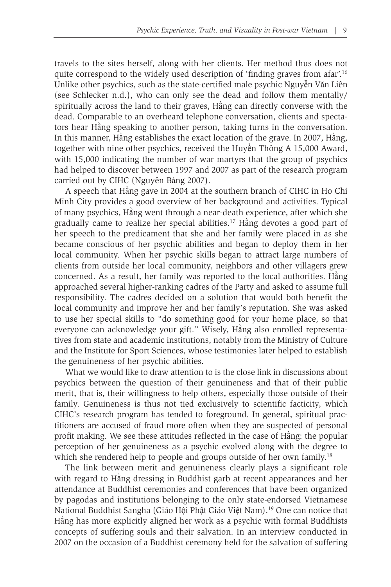travels to the sites herself, along with her clients. Her method thus does not quite correspond to the widely used description of 'finding graves from afar'.<sup>16</sup> Unlike other psychics, such as the state-certified male psychic Nguyễn Văn Liên (see Schlecker n.d.), who can only see the dead and follow them mentally/ spiritually across the land to their graves, Hằng can directly converse with the dead. Comparable to an overheard telephone conversation, clients and spectators hear Hằng speaking to another person, taking turns in the conversation. In this manner, Hằng establishes the exact location of the grave. In 2007, Hằng, together with nine other psychics, received the Huyền Thông A 15,000 Award, with 15,000 indicating the number of war martyrs that the group of psychics had helped to discover between 1997 and 2007 as part of the research program carried out by CIHC (Nguyên Bảng 2007).

A speech that Hằng gave in 2004 at the southern branch of CIHC in Ho Chi Minh City provides a good overview of her background and activities. Typical of many psychics, Hằng went through a near-death experience, after which she gradually came to realize her special abilities.<sup>17</sup> Hằng devotes a good part of her speech to the predicament that she and her family were placed in as she became conscious of her psychic abilities and began to deploy them in her local community. When her psychic skills began to attract large numbers of clients from outside her local community, neighbors and other villagers grew concerned. As a result, her family was reported to the local authorities. Hằng approached several higher-ranking cadres of the Party and asked to assume full responsibility. The cadres decided on a solution that would both benefit the local community and improve her and her family's reputation. She was asked to use her special skills to "do something good for your home place, so that everyone can acknowledge your gift." Wisely, Hằng also enrolled representatives from state and academic institutions, notably from the Ministry of Culture and the Institute for Sport Sciences, whose testimonies later helped to establish the genuineness of her psychic abilities.

What we would like to draw attention to is the close link in discussions about psychics between the question of their genuineness and that of their public merit, that is, their willingness to help others, especially those outside of their family. Genuineness is thus not tied exclusively to scientific facticity, which CIHC's research program has tended to foreground. In general, spiritual practitioners are accused of fraud more often when they are suspected of personal profit making. We see these attitudes reflected in the case of Hằng: the popular perception of her genuineness as a psychic evolved along with the degree to which she rendered help to people and groups outside of her own family.<sup>18</sup>

The link between merit and genuineness clearly plays a significant role with regard to Hằng dressing in Buddhist garb at recent appearances and her attendance at Buddhist ceremonies and conferences that have been organized by pagodas and institutions belonging to the only state-endorsed Vietnamese National Buddhist Sangha (Giáo Hội Phật Giáo Việt Nam).19 One can notice that Hằng has more explicitly aligned her work as a psychic with formal Buddhists concepts of suffering souls and their salvation. In an interview conducted in 2007 on the occasion of a Buddhist ceremony held for the salvation of suffering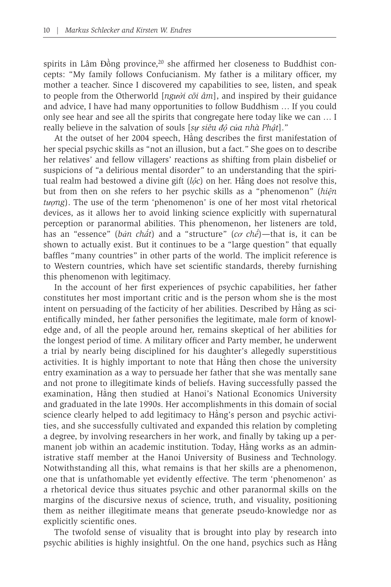spirits in Lâm Đồng province, $20$  she affirmed her closeness to Buddhist concepts: "My family follows Confucianism. My father is a military officer, my mother a teacher. Since I discovered my capabilities to see, listen, and speak to people from the Otherworld [*người cõi âm*], and inspired by their guidance and advice, I have had many opportunities to follow Buddhism … If you could only see hear and see all the spirits that congregate here today like we can … I really believe in the salvation of souls [*sự siêu độ của nhà Phật*]."

At the outset of her 2004 speech, Hằng describes the first manifestation of her special psychic skills as "not an illusion, but a fact." She goes on to describe her relatives' and fellow villagers' reactions as shifting from plain disbelief or suspicions of "a delirious mental disorder" to an understanding that the spiritual realm had bestowed a divine gift (*lộc*) on her. Hằng does not resolve this, but from then on she refers to her psychic skills as a "phenomenon" (*hiện tượng*). The use of the term 'phenomenon' is one of her most vital rhetorical devices, as it allows her to avoid linking science explicitly with supernatural perception or paranormal abilities. This phenomenon, her listeners are told, has an "essence" (*bản chất*) and a "structure" (*cơ chế*)—that is, it can be shown to actually exist. But it continues to be a "large question" that equally baffles "many countries" in other parts of the world. The implicit reference is to Western countries, which have set scientific standards, thereby furnishing this phenomenon with legitimacy.

In the account of her first experiences of psychic capabilities, her father constitutes her most important critic and is the person whom she is the most intent on persuading of the facticity of her abilities. Described by Hằng as scientifically minded, her father personifies the legitimate, male form of knowledge and, of all the people around her, remains skeptical of her abilities for the longest period of time. A military officer and Party member, he underwent a trial by nearly being disciplined for his daughter's allegedly superstitious activities. It is highly important to note that Hằng then chose the university entry examination as a way to persuade her father that she was mentally sane and not prone to illegitimate kinds of beliefs. Having successfully passed the examination, Hằng then studied at Hanoi's National Economics University and graduated in the late 1990s. Her accomplishments in this domain of social science clearly helped to add legitimacy to Hằng's person and psychic activities, and she successfully cultivated and expanded this relation by completing a degree, by involving researchers in her work, and finally by taking up a permanent job within an academic institution. Today, Hằng works as an administrative staff member at the Hanoi University of Business and Technology. Notwithstanding all this, what remains is that her skills are a phenomenon, one that is unfathomable yet evidently effective. The term 'phenomenon' as a rhetorical device thus situates psychic and other paranormal skills on the margins of the discursive nexus of science, truth, and visuality, positioning them as neither illegitimate means that generate pseudo-knowledge nor as explicitly scientific ones.

The twofold sense of visuality that is brought into play by research into psychic abilities is highly insightful. On the one hand, psychics such as Hằng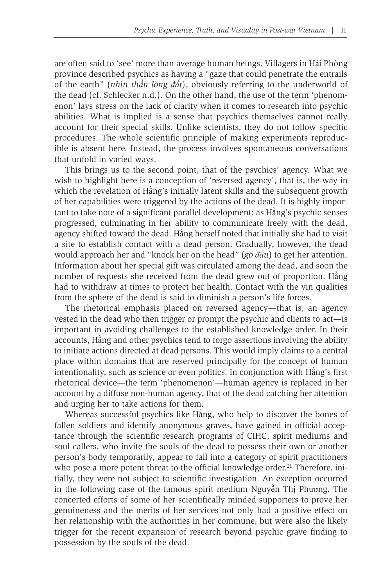are often said to 'see' more than average human beings. Villagers in Hải Phòng province described psychics as having a "gaze that could penetrate the entrails of the earth" (*nhìn thấu lòng đất*), obviously referring to the underworld of the dead (cf. Schlecker n.d.). On the other hand, the use of the term 'phenomenon' lays stress on the lack of clarity when it comes to research into psychic abilities. What is implied is a sense that psychics themselves cannot really account for their special skills. Unlike scientists, they do not follow specific procedures. The whole scientific principle of making experiments reproducible is absent here. Instead, the process involves spontaneous conversations that unfold in varied ways.

This brings us to the second point, that of the psychics' agency. What we wish to highlight here is a conception of 'reversed agency', that is, the way in which the revelation of Hằng's initially latent skills and the subsequent growth of her capabilities were triggered by the actions of the dead. It is highly important to take note of a significant parallel development: as Hằng's psychic senses progressed, culminating in her ability to communicate freely with the dead, agency shifted toward the dead. Hằng herself noted that initially she had to visit a site to establish contact with a dead person. Gradually, however, the dead would approach her and "knock her on the head" (*gõ đầu*) to get her attention. Information about her special gift was circulated among the dead, and soon the number of requests she received from the dead grew out of proportion. Hằng had to withdraw at times to protect her health. Contact with the yin qualities from the sphere of the dead is said to diminish a person's life forces.

The rhetorical emphasis placed on reversed agency*—*that is, an agency vested in the dead who then trigger or prompt the psychic and clients to act—is important in avoiding challenges to the established knowledge order. In their accounts, Hằng and other psychics tend to forgo assertions involving the ability to initiate actions directed at dead persons. This would imply claims to a central place within domains that are reserved principally for the concept of human intentionality, such as science or even politics. In conjunction with Hằng's first rhetorical device—the term 'phenomenon'*—*human agency is replaced in her account by a diffuse non-human agency, that of the dead catching her attention and urging her to take actions for them.

Whereas successful psychics like Hằng, who help to discover the bones of fallen soldiers and identify anonymous graves, have gained in official acceptance through the scientific research programs of CIHC, spirit mediums and soul callers, who invite the souls of the dead to possess their own or another person's body temporarily, appear to fall into a category of spirit practitioners who pose a more potent threat to the official knowledge order.<sup>21</sup> Therefore, initially, they were not subject to scientific investigation. An exception occurred in the following case of the famous spirit medium Nguyễn Thị Phương. The concerted efforts of some of her scientifically minded supporters to prove her genuineness and the merits of her services not only had a positive effect on her relationship with the authorities in her commune, but were also the likely trigger for the recent expansion of research beyond psychic grave finding to possession by the souls of the dead.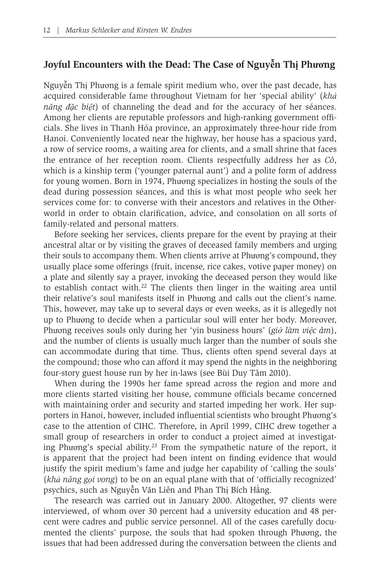# **Joyful Encounters with the Dead: The Case of Nguyễn Thị Phương**

Nguyễn Thị Phương is a female spirit medium who, over the past decade, has acquired considerable fame throughout Vietnam for her 'special ability' (*khả năng đặc biệt*) of channeling the dead and for the accuracy of her séances. Among her clients are reputable professors and high-ranking government officials. She lives in Thanh Hóa province, an approximately three-hour ride from Hanoi. Conveniently located near the highway, her house has a spacious yard, a row of service rooms, a waiting area for clients, and a small shrine that faces the entrance of her reception room. Clients respectfully address her as *Cô*, which is a kinship term ('younger paternal aunt') and a polite form of address for young women. Born in 1974, Phương specializes in hosting the souls of the dead during possession séances, and this is what most people who seek her services come for: to converse with their ancestors and relatives in the Otherworld in order to obtain clarification, advice, and consolation on all sorts of family-related and personal matters.

Before seeking her services, clients prepare for the event by praying at their ancestral altar or by visiting the graves of deceased family members and urging their souls to accompany them. When clients arrive at Phương's compound, they usually place some offerings (fruit, incense, rice cakes, votive paper money) on a plate and silently say a prayer, invoking the deceased person they would like to establish contact with.22 The clients then linger in the waiting area until their relative's soul manifests itself in Phương and calls out the client's name. This, however, may take up to several days or even weeks, as it is allegedly not up to Phương to decide when a particular soul will enter her body. Moreover, Phương receives souls only during her 'yin business hours' (*giờ làm việc âm*), and the number of clients is usually much larger than the number of souls she can accommodate during that time. Thus, clients often spend several days at the compound; those who can afford it may spend the nights in the neighboring four-story guest house run by her in-laws (see Bùi Duy Tâm 2010).

When during the 1990s her fame spread across the region and more and more clients started visiting her house, commune officials became concerned with maintaining order and security and started impeding her work. Her supporters in Hanoi, however, included influential scientists who brought Phương's case to the attention of CIHC. Therefore, in April 1999, CIHC drew together a small group of researchers in order to conduct a project aimed at investigating Phương's special ability.23 From the sympathetic nature of the report, it is apparent that the project had been intent on finding evidence that would justify the spirit medium's fame and judge her capability of 'calling the souls' (*khả năng gọi vong*) to be on an equal plane with that of 'officially recognized' psychics, such as Nguyễn Văn Liên and Phan Thị Bích Hằng.

The research was carried out in January 2000. Altogether, 97 clients were interviewed, of whom over 30 percent had a university education and 48 percent were cadres and public service personnel. All of the cases carefully documented the clients' purpose, the souls that had spoken through Phương, the issues that had been addressed during the conversation between the clients and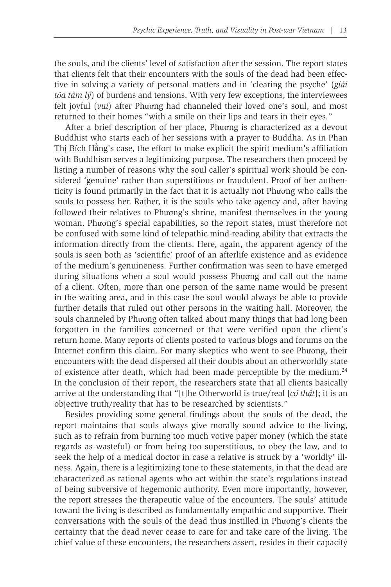the souls, and the clients' level of satisfaction after the session. The report states that clients felt that their encounters with the souls of the dead had been effective in solving a variety of personal matters and in 'clearing the psyche' (*giải tỏa tâm lý*) of burdens and tensions. With very few exceptions, the interviewees felt joyful (*vui*) after Phương had channeled their loved one's soul, and most returned to their homes "with a smile on their lips and tears in their eyes."

After a brief description of her place, Phương is characterized as a devout Buddhist who starts each of her sessions with a prayer to Buddha. As in Phan Thị Bích Hằng's case, the effort to make explicit the spirit medium's affiliation with Buddhism serves a legitimizing purpose. The researchers then proceed by listing a number of reasons why the soul caller's spiritual work should be considered 'genuine' rather than superstitious or fraudulent. Proof of her authenticity is found primarily in the fact that it is actually not Phương who calls the souls to possess her. Rather, it is the souls who take agency and, after having followed their relatives to Phương's shrine, manifest themselves in the young woman. Phương's special capabilities, so the report states, must therefore not be confused with some kind of telepathic mind-reading ability that extracts the information directly from the clients. Here, again, the apparent agency of the souls is seen both as 'scientific' proof of an afterlife existence and as evidence of the medium's genuineness. Further confirmation was seen to have emerged during situations when a soul would possess Phương and call out the name of a client. Often, more than one person of the same name would be present in the waiting area, and in this case the soul would always be able to provide further details that ruled out other persons in the waiting hall. Moreover, the souls channeled by Phương often talked about many things that had long been forgotten in the families concerned or that were verified upon the client's return home. Many reports of clients posted to various blogs and forums on the Internet confirm this claim. For many skeptics who went to see Phương, their encounters with the dead dispersed all their doubts about an otherworldly state of existence after death, which had been made perceptible by the medium.24 In the conclusion of their report, the researchers state that all clients basically arrive at the understanding that "[t]he Otherworld is true/real [*có thật*]; it is an objective truth/reality that has to be researched by scientists."

Besides providing some general findings about the souls of the dead, the report maintains that souls always give morally sound advice to the living, such as to refrain from burning too much votive paper money (which the state regards as wasteful) or from being too superstitious, to obey the law, and to seek the help of a medical doctor in case a relative is struck by a 'worldly' illness. Again, there is a legitimizing tone to these statements, in that the dead are characterized as rational agents who act within the state's regulations instead of being subversive of hegemonic authority. Even more importantly, however, the report stresses the therapeutic value of the encounters. The souls' attitude toward the living is described as fundamentally empathic and supportive. Their conversations with the souls of the dead thus instilled in Phương's clients the certainty that the dead never cease to care for and take care of the living. The chief value of these encounters, the researchers assert, resides in their capacity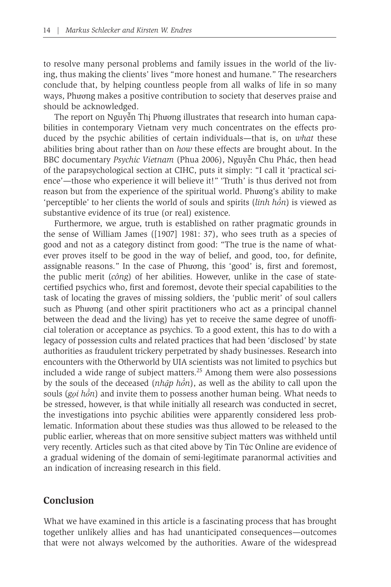to resolve many personal problems and family issues in the world of the living, thus making the clients' lives "more honest and humane." The researchers conclude that, by helping countless people from all walks of life in so many ways, Phương makes a positive contribution to society that deserves praise and should be acknowledged.

The report on Nguyễn Thị Phương illustrates that research into human capabilities in contemporary Vietnam very much concentrates on the effects produced by the psychic abilities of certain individuals—that is, on *what* these abilities bring about rather than on *how* these effects are brought about. In the BBC documentary *Psychic Vietnam* (Phua 2006), Nguyễn Chu Phác, then head of the parapsychological section at CIHC, puts it simply: "I call it 'practical science'—those who experience it will believe it!" 'Truth' is thus derived not from reason but from the experience of the spiritual world. Phương's ability to make 'perceptible' to her clients the world of souls and spirits (*linh hồn*) is viewed as substantive evidence of its true (or real) existence.

Furthermore, we argue, truth is established on rather pragmatic grounds in the sense of William James ([1907] 1981: 37), who sees truth as a species of good and not as a category distinct from good: "The true is the name of whatever proves itself to be good in the way of belief, and good, too, for definite, assignable reasons." In the case of Phương, this 'good' is, first and foremost, the public merit (*công*) of her abilities. However, unlike in the case of statecertified psychics who, first and foremost, devote their special capabilities to the task of locating the graves of missing soldiers, the 'public merit' of soul callers such as Phương (and other spirit practitioners who act as a principal channel between the dead and the living) has yet to receive the same degree of unofficial toleration or acceptance as psychics. To a good extent, this has to do with a legacy of possession cults and related practices that had been 'disclosed' by state authorities as fraudulent trickery perpetrated by shady businesses. Research into encounters with the Otherworld by UIA scientists was not limited to psychics but included a wide range of subject matters.25 Among them were also possessions by the souls of the deceased (*nhập hồn*), as well as the ability to call upon the souls (*gọi hồn*) and invite them to possess another human being. What needs to be stressed, however, is that while initially all research was conducted in secret, the investigations into psychic abilities were apparently considered less problematic. Information about these studies was thus allowed to be released to the public earlier, whereas that on more sensitive subject matters was withheld until very recently. Articles such as that cited above by Tin Tức Online are evidence of a gradual widening of the domain of semi-legitimate paranormal activities and an indication of increasing research in this field.

## **Conclusion**

What we have examined in this article is a fascinating process that has brought together unlikely allies and has had unanticipated consequences—outcomes that were not always welcomed by the authorities. Aware of the widespread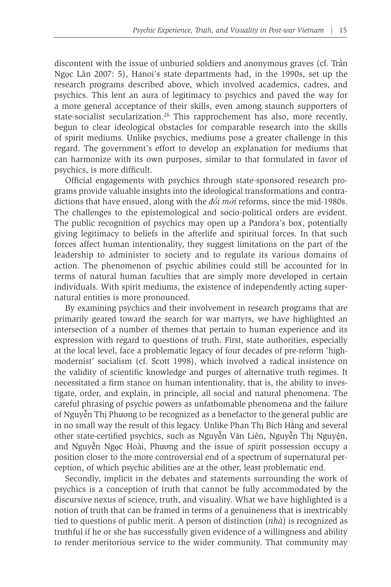discontent with the issue of unburied soldiers and anonymous graves (cf. Trần Ngọc Lân 2007: 5), Hanoi's state departments had, in the 1990s, set up the research programs described above, which involved academics, cadres, and psychics. This lent an aura of legitimacy to psychics and paved the way for a more general acceptance of their skills, even among staunch supporters of state-socialist secularization.26 This rapprochement has also, more recently, begun to clear ideological obstacles for comparable research into the skills of spirit mediums. Unlike psychics, mediums pose a greater challenge in this regard. The government's effort to develop an explanation for mediums that can harmonize with its own purposes, similar to that formulated in favor of psychics, is more difficult.

Official engagements with psychics through state-sponsored research programs provide valuable insights into the ideological transformations and contradictions that have ensued, along with the *đổi mới* reforms, since the mid-1980s. The challenges to the epistemological and socio-political orders are evident. The public recognition of psychics may open up a Pandora's box, potentially giving legitimacy to beliefs in the afterlife and spiritual forces. In that such forces affect human intentionality, they suggest limitations on the part of the leadership to administer to society and to regulate its various domains of action. The phenomenon of psychic abilities could still be accounted for in terms of natural human faculties that are simply more developed in certain individuals. With spirit mediums, the existence of independently acting supernatural entities is more pronounced.

By examining psychics and their involvement in research programs that are primarily geared toward the search for war martyrs, we have highlighted an intersection of a number of themes that pertain to human experience and its expression with regard to questions of truth. First, state authorities, especially at the local level, face a problematic legacy of four decades of pre-reform 'highmodernist' socialism (cf. Scott 1998), which involved a radical insistence on the validity of scientific knowledge and purges of alternative truth regimes. It necessitated a firm stance on human intentionality, that is, the ability to investigate, order, and explain, in principle, all social and natural phenomena. The careful phrasing of psychic powers as unfathomable phenomena and the failure of Nguyễn Thị Phương to be recognized as a benefactor to the general public are in no small way the result of this legacy. Unlike Phan Thị Bích Hằng and several other state-certified psychics, such as Nguyễn Văn Liên, Nguyễn Thị Nguyện, and Nguyễn Ngọc Hoài, Phương and the issue of spirit possession occupy a position closer to the more controversial end of a spectrum of supernatural perception, of which psychic abilities are at the other, least problematic end.

Secondly, implicit in the debates and statements surrounding the work of psychics is a conception of truth that cannot be fully accommodated by the discursive nexus of science, truth, and visuality. What we have highlighted is a notion of truth that can be framed in terms of a genuineness that is inextricably tied to questions of public merit. A person of distinction (*nhà*) is recognized as truthful if he or she has successfully given evidence of a willingness and ability to render meritorious service to the wider community. That community may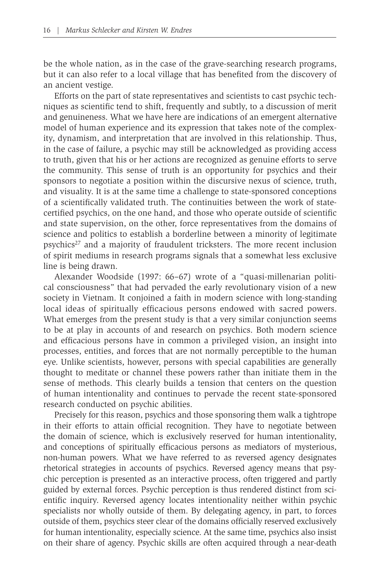be the whole nation, as in the case of the grave-searching research programs, but it can also refer to a local village that has benefited from the discovery of an ancient vestige.

Efforts on the part of state representatives and scientists to cast psychic techniques as scientific tend to shift, frequently and subtly, to a discussion of merit and genuineness. What we have here are indications of an emergent alternative model of human experience and its expression that takes note of the complexity, dynamism, and interpretation that are involved in this relationship. Thus, in the case of failure, a psychic may still be acknowledged as providing access to truth, given that his or her actions are recognized as genuine efforts to serve the community. This sense of truth is an opportunity for psychics and their sponsors to negotiate a position within the discursive nexus of science, truth, and visuality. It is at the same time a challenge to state-sponsored conceptions of a scientifically validated truth. The continuities between the work of statecertified psychics, on the one hand, and those who operate outside of scientific and state supervision, on the other, force representatives from the domains of science and politics to establish a borderline between a minority of legitimate psychics<sup>27</sup> and a majority of fraudulent tricksters. The more recent inclusion of spirit mediums in research programs signals that a somewhat less exclusive line is being drawn.

Alexander Woodside (1997: 66–67) wrote of a "quasi-millenarian political consciousness" that had pervaded the early revolutionary vision of a new society in Vietnam. It conjoined a faith in modern science with long-standing local ideas of spiritually efficacious persons endowed with sacred powers. What emerges from the present study is that a very similar conjunction seems to be at play in accounts of and research on psychics. Both modern science and efficacious persons have in common a privileged vision, an insight into processes, entities, and forces that are not normally perceptible to the human eye. Unlike scientists, however, persons with special capabilities are generally thought to meditate or channel these powers rather than initiate them in the sense of methods. This clearly builds a tension that centers on the question of human intentionality and continues to pervade the recent state-sponsored research conducted on psychic abilities.

Precisely for this reason, psychics and those sponsoring them walk a tightrope in their efforts to attain official recognition. They have to negotiate between the domain of science, which is exclusively reserved for human intentionality, and conceptions of spiritually efficacious persons as mediators of mysterious, non-human powers. What we have referred to as reversed agency designates rhetorical strategies in accounts of psychics. Reversed agency means that psychic perception is presented as an interactive process, often triggered and partly guided by external forces. Psychic perception is thus rendered distinct from scientific inquiry. Reversed agency locates intentionality neither within psychic specialists nor wholly outside of them. By delegating agency, in part, to forces outside of them, psychics steer clear of the domains officially reserved exclusively for human intentionality, especially science. At the same time, psychics also insist on their share of agency. Psychic skills are often acquired through a near-death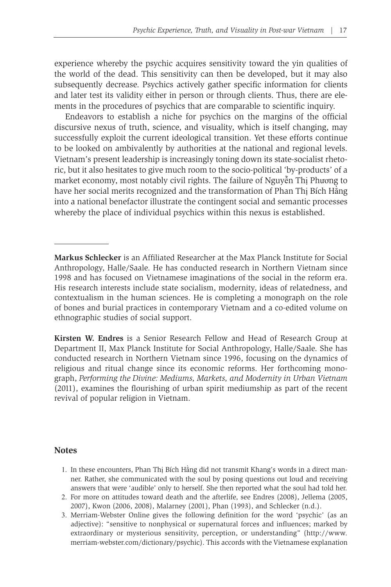experience whereby the psychic acquires sensitivity toward the yin qualities of the world of the dead. This sensitivity can then be developed, but it may also subsequently decrease. Psychics actively gather specific information for clients and later test its validity either in person or through clients. Thus, there are elements in the procedures of psychics that are comparable to scientific inquiry.

Endeavors to establish a niche for psychics on the margins of the official discursive nexus of truth, science, and visuality, which is itself changing, may successfully exploit the current ideological transition. Yet these efforts continue to be looked on ambivalently by authorities at the national and regional levels. Vietnam's present leadership is increasingly toning down its state-socialist rhetoric, but it also hesitates to give much room to the socio-political 'by-products' of a market economy, most notably civil rights. The failure of Nguyễn Thị Phương to have her social merits recognized and the transformation of Phan Thị Bích Hằng into a national benefactor illustrate the contingent social and semantic processes whereby the place of individual psychics within this nexus is established.

**Kirsten W. Endres** is a Senior Research Fellow and Head of Research Group at Department II, Max Planck Institute for Social Anthropology, Halle/Saale. She has conducted research in Northern Vietnam since 1996, focusing on the dynamics of religious and ritual change since its economic reforms. Her forthcoming monograph, *Performing the Divine: Mediums, Markets, and Modernity in Urban Vietnam* (2011), examines the flourishing of urban spirit mediumship as part of the recent revival of popular religion in Vietnam.

#### **Notes**

- 1. In these encounters, Phan Thị Bích Hằng did not transmit Khang's words in a direct manner. Rather, she communicated with the soul by posing questions out loud and receiving answers that were 'audible' only to herself. She then reported what the soul had told her.
- 2. For more on attitudes toward death and the afterlife, see Endres (2008), Jellema (2005, 2007), Kwon (2006, 2008), Malarney (2001), Phan (1993), and Schlecker (n.d.).
- 3. Merriam-Webster Online gives the following definition for the word 'psychic' (as an adjective): "sensitive to nonphysical or supernatural forces and influences; marked by extraordinary or mysterious sensitivity, perception, or understanding" (http://www. merriam-webster.com/dictionary/psychic). This accords with the Vietnamese explanation

**Markus Schlecker** is an Affiliated Researcher at the Max Planck Institute for Social Anthropology, Halle/Saale. He has conducted research in Northern Vietnam since 1998 and has focused on Vietnamese imaginations of the social in the reform era. His research interests include state socialism, modernity, ideas of relatedness, and contextualism in the human sciences. He is completing a monograph on the role of bones and burial practices in contemporary Vietnam and a co-edited volume on ethnographic studies of social support.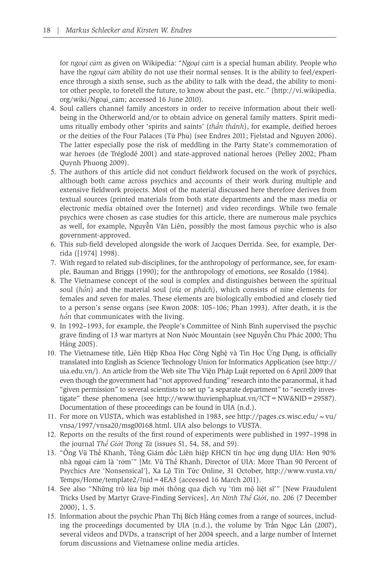for *ngoại cảm* as given on Wikipedia: "*Ngoại cảm* is a special human ability. People who have the *ngoai cảm* ability do not use their normal senses. It is the ability to feel/experience through a sixth sense, such as the ability to talk with the dead, the ability to monitor other people, to foretell the future, to know about the past, etc." (http://vi.wikipedia. org/wiki/Ngoại\_cảm; accessed 16 June 2010).

- 4. Soul callers channel family ancestors in order to receive information about their wellbeing in the Otherworld and/or to obtain advice on general family matters. Spirit mediums ritually embody other 'spirits and saints' (*thần thánh*), for example, deified heroes or the deities of the Four Palaces (Tứ Phủ) (see Endres 2011; Fjelstad and Nguyen 2006). The latter especially pose the risk of meddling in the Party State's commemoration of war heroes (de Tréglodé 2001) and state-approved national heroes (Pelley 2002; Pham Quynh Phuong 2009).
- 5. The authors of this article did not conduct fieldwork focused on the work of psychics, although both came across psychics and accounts of their work during multiple and extensive fieldwork projects. Most of the material discussed here therefore derives from textual sources (printed materials from both state departments and the mass media or electronic media obtained over the Internet) and video recordings. While two female psychics were chosen as case studies for this article, there are numerous male psychics as well, for example, Nguyễn Văn Liên, possibly the most famous psychic who is also government-approved.
- 6. This sub-field developed alongside the work of Jacques Derrida. See, for example, Derrida ([1974] 1998).
- 7. With regard to related sub-disciplines, for the anthropology of performance, see, for example, Bauman and Briggs (1990); for the anthropology of emotions, see Rosaldo (1984).
- 8. The Vietnamese concept of the soul is complex and distinguishes between the spiritual soul (*hồn*) and the material soul (*vía* or *phách*), which consists of nine elements for females and seven for males. These elements are biologically embodied and closely tied to a person's sense organs (see Kwon 2008: 105–106; Phan 1993). After death, it is the *hồn* that communicates with the living.
- 9. In 1992–1993, for example, the People's Committee of Ninh Bình supervised the psychic grave finding of 13 war martyrs at Non Nước Mountain (see Nguyễn Chu Phác 2000; Thu Hằng 2005).
- 10. The Vietnamese title, Liên Hiệp Khoa Học Công Nghệ và Tin Học Ứng Dụng, is officially translated into English as Science Technology Union for Informatics Application (see http:// uia.edu.vn/). An article from the Web site Thư Viện Pháp Luật reported on 6 April 2009 that even though the government had "not approved funding" research into the paranormal, it had "given permission" to several scientists to set up "a separate department" to "secretly investigate" these phenomena (see http://www.thuvienphapluat.vn/?CT=NW&NID=29587). Documentation of these proceedings can be found in UIA (n.d.).
- 11. For more on VUSTA, which was established in 1983, see http://pages.cs.wisc.edu/ $\sim$ vu/ vnsa/1997/vnsa20/msg00168.html. UIA also belongs to VUSTA.
- 12. Reports on the results of the first round of experiments were published in 1997–1998 in the journal *Thế Giới Trong Ta* (issues 51, 54, 58, and 59).
- 13. "Ông Vũ Thế Khanh, Tổng Giám đốc Liên hiệp KHCN tin học ứng dụng UIA: Hơn 90% nhà ngoại cảm là 'rởm'" [Mr. Vũ Thế Khanh, Director of UIA: More Than 90 Percent of Psychics Are 'Nonsensical'], Xa Lộ Tin Tức Online, 31 October, http://www.vusta.vn/ Temps/Home/template2/?nid=4EA3 (accessed 16 March 2011).
- 14. See also "Những trò lừa bịp mới thông qua dịch vụ 'tìm mộ liệt sĩ'" [New Fraudulent Tricks Used by Martyr Grave-Finding Services], *An Ninh Thế Giới*, no. 206 (7 December 2000), 1, 5.
- 15. Information about the psychic Phan Thị Bích Hằng comes from a range of sources, including the proceedings documented by UIA (n.d.), the volume by Trần Ngọc Lân (2007), several videos and DVDs, a transcript of her 2004 speech, and a large number of Internet forum discussions and Vietnamese online media articles.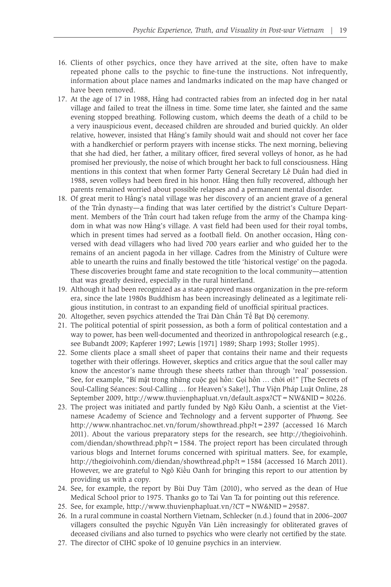- 16. Clients of other psychics, once they have arrived at the site, often have to make repeated phone calls to the psychic to fine-tune the instructions. Not infrequently, information about place names and landmarks indicated on the map have changed or have been removed.
- 17. At the age of 17 in 1988, Hằng had contracted rabies from an infected dog in her natal village and failed to treat the illness in time. Some time later, she fainted and the same evening stopped breathing. Following custom, which deems the death of a child to be a very inauspicious event, deceased children are shrouded and buried quickly. An older relative, however, insisted that Hằng's family should wait and should not cover her face with a handkerchief or perform prayers with incense sticks. The next morning, believing that she had died, her father, a military officer, fired several volleys of honor, as he had promised her previously, the noise of which brought her back to full consciousness. Hằng mentions in this context that when former Party General Secretary Lê Duẩn had died in 1988, seven volleys had been fired in his honor. Hằng then fully recovered, although her parents remained worried about possible relapses and a permanent mental disorder.
- 18. Of great merit to Hằng's natal village was her discovery of an ancient grave of a general of the Trần dynasty—a finding that was later certified by the district's Culture Department. Members of the Trần court had taken refuge from the army of the Champa kingdom in what was now Hằng's village. A vast field had been used for their royal tombs, which in present times had served as a football field. On another occasion, Hằng conversed with dead villagers who had lived 700 years earlier and who guided her to the remains of an ancient pagoda in her village. Cadres from the Ministry of Culture were able to unearth the ruins and finally bestowed the title 'historical vestige' on the pagoda. These discoveries brought fame and state recognition to the local community—attention that was greatly desired, especially in the rural hinterland.
- 19. Although it had been recognized as a state-approved mass organization in the pre-reform era, since the late 1980s Buddhism has been increasingly delineated as a legitimate religious institution, in contrast to an expanding field of unofficial spiritual practices.
- 20. Altogether, seven psychics attended the Trai Dàn Chẩn Tế Bạt Độ ceremony.
- 21. The political potential of spirit possession, as both a form of political contestation and a way to power, has been well-documented and theorized in anthropological research (e.g., see Bubandt 2009; Kapferer 1997; Lewis [1971] 1989; Sharp 1993; Stoller 1995).
- 22. Some clients place a small sheet of paper that contains their name and their requests together with their offerings. However, skeptics and critics argue that the soul caller may know the ancestor's name through these sheets rather than through 'real' possession. See, for example, "Bí mật trong những cuộc gọi hồn: Gọi hồn … chời ơi!" [The Secrets of Soul-Calling Séances: Soul-Calling … for Heaven's Sake!], Thư Viện Pháp Luật Online, 28 September 2009, http://www.thuvienphapluat.vn/default.aspx?CT=NW&NID=30226.
- 23. The project was initiated and partly funded by Ngô Kiều Oanh, a scientist at the Vietnamese Academy of Science and Technology and a fervent supporter of Phương. See http://www.nhantrachoc.net.vn/forum/showthread.php?t=2397 (accessed 16 March 2011). About the various preparatory steps for the research, see http://thegioivohinh. com/diendan/showthread.php?t=1584. The project report has been circulated through various blogs and Internet forums concerned with spiritual matters. See, for example, http://thegioivohinh.com/diendan/showthread.php?t=1584 (accessed 16 March 2011). However, we are grateful to Ngô Kiều Oanh for bringing this report to our attention by providing us with a copy.
- 24. See, for example, the report by Bùi Duy Tâm (2010), who served as the dean of Hue Medical School prior to 1975. Thanks go to Tai Van Ta for pointing out this reference.
- 25. See, for example, http://www.thuvienphapluat.vn/?CT=NW&NID=29587.
- 26. In a rural commune in coastal Northern Vietnam, Schlecker (n.d.) found that in 2006–2007 villagers consulted the psychic Nguyễn Văn Liên increasingly for obliterated graves of deceased civilians and also turned to psychics who were clearly not certified by the state.
- 27. The director of CIHC spoke of 10 genuine psychics in an interview.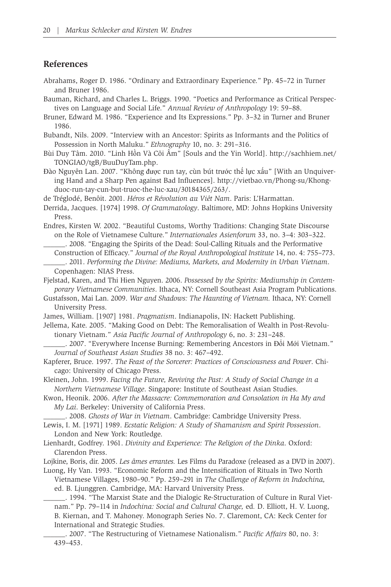#### **References**

- Abrahams, Roger D. 1986. "Ordinary and Extraordinary Experience." Pp. 45–72 in Turner and Bruner 1986.
- Bauman, Richard, and Charles L. Briggs. 1990. "Poetics and Performance as Critical Perspectives on Language and Social Life." *Annual Review of Anthropology* 19: 59–88.
- Bruner, Edward M. 1986. "Experience and Its Expressions." Pp. 3–32 in Turner and Bruner 1986.
- Bubandt, Nils. 2009. "Interview with an Ancestor: Spirits as Informants and the Politics of Possession in North Maluku." *Ethnography* 10, no. 3: 291–316.
- Bùi Duy Tâm. 2010. "Linh Hồn Và Cõi Âm" [Souls and the Yin World]. http://sachhiem.net/ TONGIAO/tgB/BuuDuyTam.php.
- Đào Nguyên Lan. 2007. "Không được run tay, cùn bút trước thế lực xấu" [With an Unquivering Hand and a Sharp Pen against Bad Influences]. http://vietbao.vn/Phong-su/Khongduoc-run-tay-cun-but-truoc-the-luc-xau/30184365/263/.

de Tréglodé, Benôit. 2001. *Héros et Révolution au Viêt Nam*. Paris: L'Harmattan.

- Derrida, Jacques. [1974] 1998. *Of Grammatology*. Baltimore, MD: Johns Hopkins University Press.
- Endres, Kirsten W. 2002. "Beautiful Customs, Worthy Traditions: Changing State Discourse on the Role of Vietnamese Culture." *Internationales Asienforum* 33, no. 3–4: 303–322.
- \_\_\_\_\_\_. 2008. "Engaging the Spirits of the Dead: Soul-Calling Rituals and the Performative Construction of Efficacy." *Journal of the Royal Anthropological Institute* 14, no. 4: 755–773. \_\_\_\_\_\_. 2011. *Performing the Divine: Mediums, Markets, and Modernity in Urban Vietnam*. Copenhagen: NIAS Press.
- Fjelstad, Karen, and Thi Hien Nguyen. 2006. *Possessed by the Spirits: Mediumship in Contemporary Vietnamese Communities*. Ithaca, NY: Cornell Southeast Asia Program Publications.
- Gustafsson, Mai Lan. 2009. *War and Shadows: The Haunting of Vietnam.* Ithaca, NY: Cornell University Press.
- James, William. [1907] 1981. *Pragmatism*. Indianapolis, IN: Hackett Publishing.
- Jellema, Kate. 2005. "Making Good on Debt: The Remoralisation of Wealth in Post-Revolutionary Vietnam." *Asia Pacific Journal of Anthropology* 6, no. 3: 231–248.
	- \_\_\_\_\_\_. 2007. "Everywhere Incense Burning: Remembering Ancestors in Đổi Mới Vietnam." *Journal of Southeast Asian Studies* 38 no. 3: 467–492.
- Kapferer, Bruce. 1997. *The Feast of the Sorcerer: Practices of Consciousness and Power*. Chicago: University of Chicago Press.

Kleinen, John. 1999. *Facing the Future, Reviving the Past: A Study of Social Change in a Northern Vietnamese Village*. Singapore: Institute of Southeast Asian Studies.

Kwon, Heonik. 2006. *After the Massacre: Commemoration and Consolation in Ha My and My Lai*. Berkeley: University of California Press.

\_\_\_\_\_\_. 2008. *Ghosts of War in Vietnam*. Cambridge: Cambridge University Press.

- Lewis, I. M. [1971] 1989. *Ecstatic Religion: A Study of Shamanism and Spirit Possession*. London and New York: Routledge.
- Lienhardt, Godfrey. 1961. *Divinity and Experience: The Religion of the Dinka*. Oxford: Clarendon Press.

Lojkine, Boris, dir. 2005. *Les âmes errantes.* Les Films du Paradoxe (released as a DVD in 2007).

- Luong, Hy Van. 1993. "Economic Reform and the Intensification of Rituals in Two North Vietnamese Villages, 1980–90." Pp. 259–291 in *The Challenge of Reform in Indochina,*  ed. B. Ljunggren. Cambridge, MA: Harvard University Press.
	- \_\_\_\_\_\_. 1994. "The Marxist State and the Dialogic Re-Structuration of Culture in Rural Vietnam." Pp. 79–114 in *Indochina: Social and Cultural Change,* ed*.* D. Elliott, H. V. Luong, B. Kiernan, and T. Mahoney. Monograph Series No. 7. Claremont, CA: Keck Center for International and Strategic Studies.
	- \_\_\_\_\_\_. 2007. "The Restructuring of Vietnamese Nationalism." *Pacific Affairs* 80, no. 3: 439–453.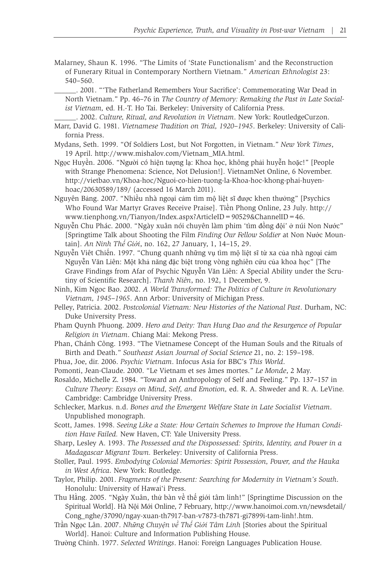Malarney, Shaun K. 1996. "The Limits of 'State Functionalism' and the Reconstruction of Funerary Ritual in Contemporary Northern Vietnam." *American Ethnologist* 23: 540–560.

\_\_\_\_\_\_. 2001. "'The Fatherland Remembers Your Sacrifice': Commemorating War Dead in North Vietnam." Pp. 46–76 in *The Country of Memory: Remaking the Past in Late Socialist Vietnam,* ed*.* H.-T. Ho Tai. Berkeley: University of California Press.

\_\_\_\_\_\_. 2002. *Culture, Ritual, and Revolution in Vietnam*. New York: RoutledgeCurzon. Marr, David G. 1981. *Vietnamese Tradition on Trial, 1920–1945*. Berkeley: University of California Press.

- Mydans, Seth. 1999. "Of Soldiers Lost, but Not Forgotten, in Vietnam." *New York Times*, 19 April. http://www.mishalov.com/Vietnam\_MIA.html.
- Ngọc Huyền. 2006. "Người có hiện tượng lạ: Khoa học, không phải huyễn hoặc!" [People with Strange Phenomena: Science, Not Delusion!]. VietnamNet Online, 6 November. http://vietbao.vn/Khoa-hoc/Nguoi-co-hien-tuong-la-Khoa-hoc-khong-phai-huyenhoac/20630589/189/ (accessed 16 March 2011).
- Nguyên Bảng. 2007. "Nhiều nhà ngoại cảm tìm mộ liệt sĩ được khen thưởng" [Psychics Who Found War Martyr Graves Receive Praise]. Tiền Phong Online, 23 July. http:// www.tienphong.vn/Tianyon/Index.aspx?ArticleID=90529&ChannelID=46.
- Nguyễn Chu Phác. 2000. "Ngày xuân nói chuyên làm phim 'tìm đồng đội' ở núi Non Nước" [Springtime Talk about Shooting the Film *Finding Our Fellow Soldier* at Non Nước Mountain]. *An Ninh Thế Giới*, no. 162, 27 January, 1, 14–15, 29.
- Nguyễn Viêt Chiến. 1997. "Chung quanh những vụ tìm mộ liệt sĩ từ xa của nhà ngoại cảm Nguyễn Văn Liên: Một khả năng đặc biệt trong vòng nghiên cứu của khoa học" [The Grave Findings from Afar of Psychic Nguyễn Văn Liên: A Special Ability under the Scrutiny of Scientific Research]. *Thanh Niên*, no. 192, 1 December, 9.
- Ninh, Kim Ngoc Bao. 2002. *A World Transformed: The Politics of Culture in Revolutionary Vietnam, 1945–1965*. Ann Arbor: University of Michigan Press.
- Pelley, Patricia. 2002. *Postcolonial Vietnam: New Histories of the National Past*. Durham, NC: Duke University Press.
- Pham Quynh Phuong. 2009. *Hero and Deity: Tran Hung Dao and the Resurgence of Popular Religion in Vietnam*. Chiang Mai: Mekong Press.
- Phan, Chánh Công. 1993. "The Vietnamese Concept of the Human Souls and the Rituals of Birth and Death." *Southeast Asian Journal of Social Science* 21, no. 2: 159–198.
- Phua, Joe, dir. 2006. *Psychic Vietnam*. Infocus Asia for BBC's *This World*.
- Pomonti, Jean-Claude. 2000. "Le Vietnam et ses âmes mortes." *Le Monde*, 2 May.
- Rosaldo, Michelle Z. 1984. "Toward an Anthropology of Self and Feeling." Pp. 137–157 in *Culture Theory: Essays on Mind, Self, and Emotion,* ed. R. A. Shweder and R. A. LeVine. Cambridge: Cambridge University Press.

Schlecker, Markus. n.d. *Bones and the Emergent Welfare State in Late Socialist Vietnam*. Unpublished monograph*.*

- Scott, James. 1998. *Seeing Like a State: How Certain Schemes to Improve the Human Condition Have Failed.* New Haven, CT: Yale University Press.
- Sharp, Lesley A. 1993. *The Possessed and the Dispossessed: Spirits, Identity, and Power in a Madagascar Migrant Town.* Berkeley: University of California Press.
- Stoller, Paul. 1995. *Embodying Colonial Memories: Spirit Possession, Power, and the Hauka in West Africa*. New York: Routledge.
- Taylor, Philip. 2001. *Fragments of the Present: Searching for Modernity in Vietnam's South*. Honolulu: University of Hawai'i Press.
- Thu Hằng. 2005. "Ngày Xuân, thử bàn về thế giới tâm linh!" [Springtime Discussion on the Spiritual World]. Hà Nội Mới Online, 7 February, http://www.hanoimoi.com.vn/newsdetail/ Cong\_nghe/37090/ngay-xuan-th7917-ban-v7873-th7871-gi7899i-tam-linh!.htm.
- Trần Ngọc Lân. 2007. *Những Chuyện về Thế Giới Tâm Linh* [Stories about the Spiritual World]. Hanoi: Culture and Information Publishing House.
- Trường Chinh. 1977. *Selected Writings*. Hanoi: Foreign Languages Publication House.